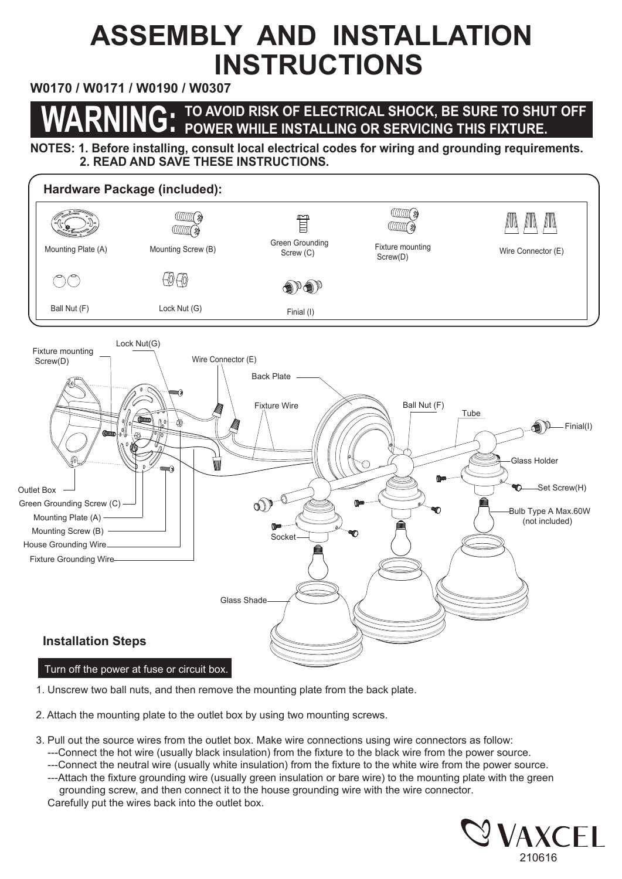## **ASSEMBLY AND INSTALLATION INSTRUCTIONS**

## **W0170 / W0171 / W0190 / W0307**

## **WARNING: TO AVOID RISK OF ELECTRICAL SHOCK, BE SURE TO SHUT OFF POWER WHILE INSTALLING OR SERVICING THIS FIXTURE.**

**NOTES: 1. Before installing, consult local electrical codes for wiring and grounding requirements. 2. READ AND SAVE THESE INSTRUCTIONS.** 



- 1. Unscrew two ball nuts, and then remove the mounting plate from the back plate.
- 2. Attach the mounting plate to the outlet box by using two mounting screws.
- 3. Pull out the source wires from the outlet box. Make wire connections using wire connectors as follow:
	- ---Connect the hot wire (usually black insulation) from the fixture to the black wire from the power source.
	- ---Connect the neutral wire (usually white insulation) from the fixture to the white wire from the power source.
	- ---Attach the fixture grounding wire (usually green insulation or bare wire) to the mounting plate with the green grounding screw, and then connect it to the house grounding wire with the wire connector. Carefully put the wires back into the outlet box.